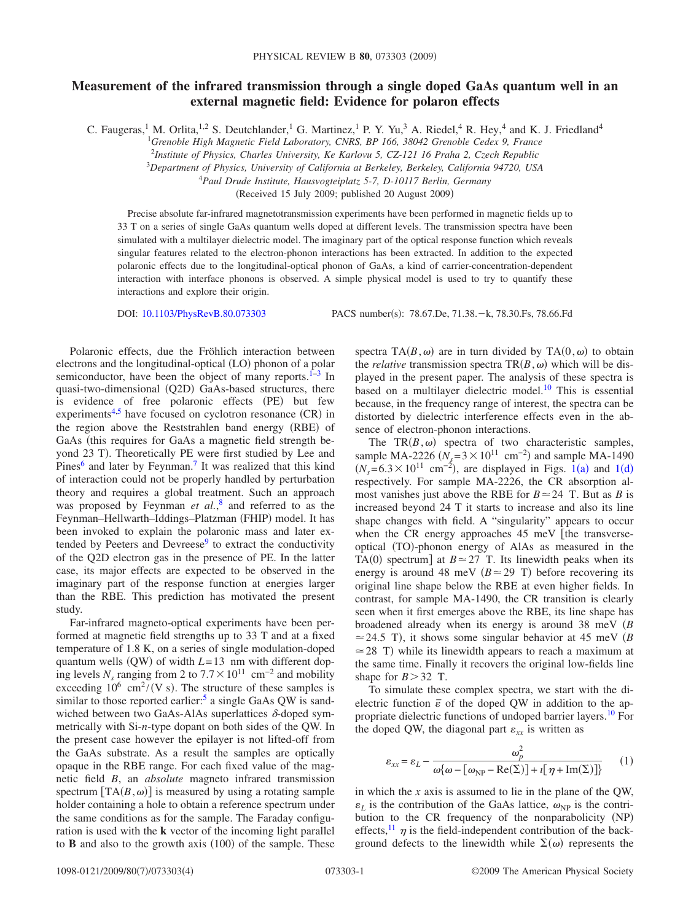## **Measurement of the infrared transmission through a single doped GaAs quantum well in an external magnetic field: Evidence for polaron effects**

C. Faugeras,<sup>1</sup> M. Orlita,<sup>1,2</sup> S. Deutchlander,<sup>1</sup> G. Martinez,<sup>1</sup> P. Y. Yu,<sup>3</sup> A. Riedel,<sup>4</sup> R. Hey,<sup>4</sup> and K. J. Friedland<sup>4</sup>

<sup>1</sup>*Grenoble High Magnetic Field Laboratory, CNRS, BP 166, 38042 Grenoble Cedex 9, France*

2 *Institute of Physics, Charles University, Ke Karlovu 5, CZ-121 16 Praha 2, Czech Republic*

3 *Department of Physics, University of California at Berkeley, Berkeley, California 94720, USA*

<sup>4</sup>*Paul Drude Institute, Hausvogteiplatz 5-7, D-10117 Berlin, Germany*

(Received 15 July 2009; published 20 August 2009)

Precise absolute far-infrared magnetotransmission experiments have been performed in magnetic fields up to 33 T on a series of single GaAs quantum wells doped at different levels. The transmission spectra have been simulated with a multilayer dielectric model. The imaginary part of the optical response function which reveals singular features related to the electron-phonon interactions has been extracted. In addition to the expected polaronic effects due to the longitudinal-optical phonon of GaAs, a kind of carrier-concentration-dependent interaction with interface phonons is observed. A simple physical model is used to try to quantify these interactions and explore their origin.

DOI: [10.1103/PhysRevB.80.073303](http://dx.doi.org/10.1103/PhysRevB.80.073303)

PACS number(s): 78.67.De, 71.38. - k, 78.30.Fs, 78.66.Fd

Polaronic effects, due the Fröhlich interaction between electrons and the longitudinal-optical (LO) phonon of a polar semiconductor, have been the object of many reports. $I<sup>-3</sup>$  In quasi-two-dimensional (Q2D) GaAs-based structures, there is evidence of free polaronic effects (PE) but few experiments<sup>4[,5](#page-3-3)</sup> have focused on cyclotron resonance  $(CR)$  in the region above the Reststrahlen band energy (RBE) of GaAs (this requires for GaAs a magnetic field strength beyond 23 T). Theoretically PE were first studied by Lee and Pines<sup>6</sup> and later by Feynman.<sup>7</sup> It was realized that this kind of interaction could not be properly handled by perturbation theory and requires a global treatment. Such an approach was proposed by Feynman *et al.*, [8](#page-3-6) and referred to as the Feynman-Hellwarth-Iddings-Platzman (FHIP) model. It has been invoked to explain the polaronic mass and later extended by Peeters and Devreese $9$  to extract the conductivity of the Q2D electron gas in the presence of PE. In the latter case, its major effects are expected to be observed in the imaginary part of the response function at energies larger than the RBE. This prediction has motivated the present study.

Far-infrared magneto-optical experiments have been performed at magnetic field strengths up to 33 T and at a fixed temperature of 1.8 K, on a series of single modulation-doped quantum wells  $(QW)$  of width  $L=13$  nm with different doping levels  $N_s$  ranging from 2 to  $7.7 \times 10^{11}$  cm<sup>-2</sup> and mobility exceeding  $10^6 \text{ cm}^2 / (\text{V s})$ . The structure of these samples is similar to those reported earlier:<sup>5</sup> a single GaAs QW is sandwiched between two GaAs-AlAs superlattices  $\delta$ -doped symmetrically with Si-*n*-type dopant on both sides of the QW. In the present case however the epilayer is not lifted-off from the GaAs substrate. As a result the samples are optically opaque in the RBE range. For each fixed value of the magnetic field *B*, an *absolute* magneto infrared transmission spectrum  $[TA(B, \omega)]$  is measured by using a rotating sample holder containing a hole to obtain a reference spectrum under the same conditions as for the sample. The Faraday configuration is used with the **k** vector of the incoming light parallel to  $\bf{B}$  and also to the growth axis  $(100)$  of the sample. These

spectra TA $(B, \omega)$  are in turn divided by TA $(0, \omega)$  to obtain the *relative* transmission spectra  $TR(B,\omega)$  which will be displayed in the present paper. The analysis of these spectra is based on a multilayer dielectric model[.10](#page-3-8) This is essential because, in the frequency range of interest, the spectra can be distorted by dielectric interference effects even in the absence of electron-phonon interactions.

The  $TR(B,\omega)$  spectra of two characteristic samples, sample MA-2226 ( $N_s = 3 \times 10^{11}$  cm<sup>-2</sup>) and sample MA-1490  $(N_s = 6.3 \times 10^{11} \text{ cm}^{-2})$  $(N_s = 6.3 \times 10^{11} \text{ cm}^{-2})$  $(N_s = 6.3 \times 10^{11} \text{ cm}^{-2})$ , are displayed in Figs. 1(a) and 1(d) respectively. For sample MA-2226, the CR absorption almost vanishes just above the RBE for  $B \approx 24$  T. But as *B* is increased beyond 24 T it starts to increase and also its line shape changes with field. A "singularity" appears to occur when the CR energy approaches  $45 \text{ meV}$  [the transverseoptical (TO)-phonon energy of AlAs as measured in the TA(0) spectrum] at  $B \approx 27$  T. Its linewidth peaks when its energy is around 48 meV  $(B \approx 29 \text{ T})$  before recovering its original line shape below the RBE at even higher fields. In contrast, for sample MA-1490, the CR transition is clearly seen when it first emerges above the RBE, its line shape has broadened already when its energy is around 38 meV *B*  $\approx$  24.5 T), it shows some singular behavior at 45 meV *(B)*  $\simeq$  28 T) while its linewidth appears to reach a maximum at the same time. Finally it recovers the original low-fields line shape for  $B > 32$  T.

To simulate these complex spectra, we start with the dielectric function  $\bar{\varepsilon}$  of the doped QW in addition to the appropriate dielectric functions of undoped barrier layers[.10](#page-3-8) For the doped QW, the diagonal part  $\varepsilon_{xx}$  is written as

<span id="page-0-0"></span>
$$
\varepsilon_{xx} = \varepsilon_L - \frac{\omega_p^2}{\omega \{\omega - [\omega_{\rm NP} - \text{Re}(\Sigma)] + \iota [\eta + \text{Im}(\Sigma)]\}} \qquad (1)
$$

in which the *x* axis is assumed to lie in the plane of the QW,  $\varepsilon_L$  is the contribution of the GaAs lattice,  $\omega_{NP}$  is the contribution to the CR frequency of the nonparabolicity (NP) effects,<sup>11</sup>  $\eta$  is the field-independent contribution of the background defects to the linewidth while  $\Sigma(\omega)$  represents the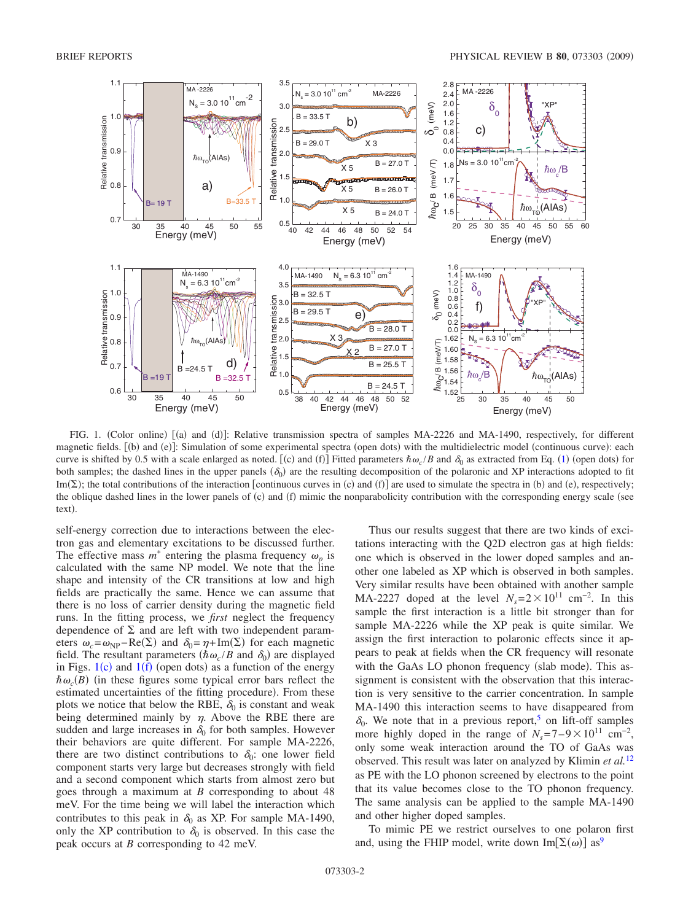<span id="page-1-0"></span>

FIG. 1. (Color online) [(a) and (d)]: Relative transmission spectra of samples MA-2226 and MA-1490, respectively, for different magnetic fields. [(b) and (e)]: Simulation of some experimental spectra (open dots) with the multidielectric model (continuous curve): each curve is shifted by 0.5 with a scale enlarged as noted. [(c) and (f)] Fitted parameters  $\hbar \omega_c/B$  and  $\delta_0$  as extracted from Eq. ([1](#page-0-0)) (open dots) for both samples; the dashed lines in the upper panels  $(\delta_0)$  are the resulting decomposition of the polaronic and XP interactions adopted to fit Im( $\Sigma$ ); the total contributions of the interaction [continuous curves in (c) and (f)] are used to simulate the spectra in (b) and (e), respectively; the oblique dashed lines in the lower panels of  $(c)$  and  $(f)$  mimic the nonparabolicity contribution with the corresponding energy scale (see text).

self-energy correction due to interactions between the electron gas and elementary excitations to be discussed further. The effective mass  $m^*$  entering the plasma frequency  $\omega_p$  is calculated with the same NP model. We note that the line shape and intensity of the CR transitions at low and high fields are practically the same. Hence we can assume that there is no loss of carrier density during the magnetic field runs. In the fitting process, we *first* neglect the frequency dependence of  $\Sigma$  and are left with two independent parameters  $\omega_c = \omega_{\text{NP}} - \text{Re}(\Sigma)$  and  $\delta_0 = \eta + \text{Im}(\Sigma)$  for each magnetic field. The resultant parameters  $(\hbar \omega_c / B$  and  $\delta_0)$  are displayed in Figs.  $1(c)$  $1(c)$  and  $1(f)$  (open dots) as a function of the energy  $\hbar \omega_c(B)$  (in these figures some typical error bars reflect the estimated uncertainties of the fitting procedure). From these plots we notice that below the RBE,  $\delta_0$  is constant and weak being determined mainly by  $\eta$ . Above the RBE there are sudden and large increases in  $\delta_0$  for both samples. However their behaviors are quite different. For sample MA-2226, there are two distinct contributions to  $\delta_0$ : one lower field component starts very large but decreases strongly with field and a second component which starts from almost zero but goes through a maximum at *B* corresponding to about 48 meV. For the time being we will label the interaction which contributes to this peak in  $\delta_0$  as XP. For sample MA-1490, only the XP contribution to  $\delta_0$  is observed. In this case the peak occurs at *B* corresponding to 42 meV.

Thus our results suggest that there are two kinds of excitations interacting with the Q2D electron gas at high fields: one which is observed in the lower doped samples and another one labeled as XP which is observed in both samples. Very similar results have been obtained with another sample MA-2227 doped at the level  $N_s = 2 \times 10^{11}$  cm<sup>-2</sup>. In this sample the first interaction is a little bit stronger than for sample MA-2226 while the XP peak is quite similar. We assign the first interaction to polaronic effects since it appears to peak at fields when the CR frequency will resonate with the GaAs LO phonon frequency (slab mode). This assignment is consistent with the observation that this interaction is very sensitive to the carrier concentration. In sample MA-1490 this interaction seems to have disappeared from  $\delta_0$ . We note that in a previous report,<sup>5</sup> on lift-off samples more highly doped in the range of  $N_s = 7-9 \times 10^{11}$  cm<sup>-2</sup>, only some weak interaction around the TO of GaAs was observed. This result was later on analyzed by Klimin *et al.*[12](#page-3-10) as PE with the LO phonon screened by electrons to the point that its value becomes close to the TO phonon frequency. The same analysis can be applied to the sample MA-1490 and other higher doped samples.

To mimic PE we restrict ourselves to one polaron first and, using the FHIP model, write down  $\text{Im}[\Sigma(\omega)]$  as<sup>9</sup>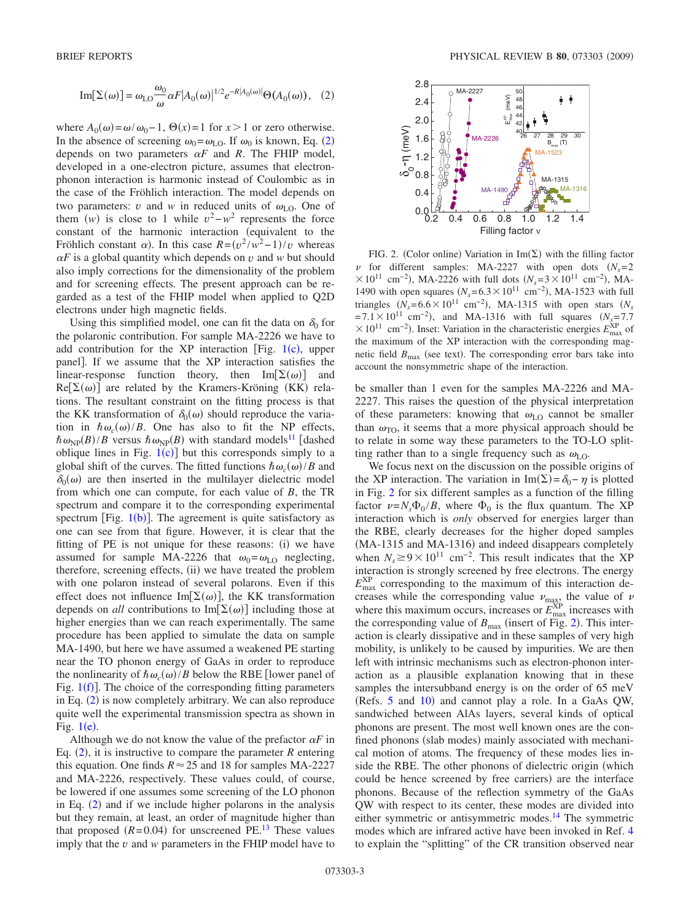<span id="page-2-0"></span>Im
$$
[\Sigma(\omega)] = \omega_{LO} \frac{\omega_0}{\omega} \alpha F |A_0(\omega)|^{1/2} e^{-R |A_0(\omega)|} \Theta(A_0(\omega)),
$$
 (2)

where  $A_0(\omega) = \omega/\omega_0 - 1$ ,  $\Theta(x) = 1$  for  $x > 1$  or zero otherwise. In the absence of screening  $\omega_0 = \omega_{LO}$ . If  $\omega_0$  is known, Eq. ([2](#page-2-0)) depends on two parameters  $\alpha F$  and R. The FHIP model, developed in a one-electron picture, assumes that electronphonon interaction is harmonic instead of Coulombic as in the case of the Fröhlich interaction. The model depends on two parameters: *v* and *w* in reduced units of  $\omega_{LO}$ . One of them  $(w)$  is close to 1 while  $v^2 - w^2$  represents the force constant of the harmonic interaction (equivalent to the Fröhlich constant  $\alpha$ ). In this case  $R = (v^2/w^2 - 1)/v$  whereas  $\alpha F$  is a global quantity which depends on *v* and *w* but should also imply corrections for the dimensionality of the problem and for screening effects. The present approach can be regarded as a test of the FHIP model when applied to Q2D electrons under high magnetic fields.

Using this simplified model, one can fit the data on  $\delta_0$  for the polaronic contribution. For sample MA-2226 we have to add contribution for the XP interaction [Fig.  $1(c)$  $1(c)$ , upper panel. If we assume that the XP interaction satisfies the linear-response function theory, then  $\text{Im}[\Sigma(\omega)]$  and  $\text{Re}[\Sigma(\omega)]$  are related by the Kramers-Kröning (KK) relations. The resultant constraint on the fitting process is that the KK transformation of  $\delta_0(\omega)$  should reproduce the variation in  $\hbar \omega_c(\omega)/B$ . One has also to fit the NP effects,  $\hbar \omega_{\text{NP}}(B)/B$  versus  $\hbar \omega_{\text{NP}}(B)$  with standard models<sup>11</sup> [dashed oblique lines in Fig.  $1(c)$  $1(c)$  but this corresponds simply to a global shift of the curves. The fitted functions  $\hbar \omega_c(\omega)/B$  and  $\delta_0(\omega)$  are then inserted in the multilayer dielectric model from which one can compute, for each value of *B*, the TR spectrum and compare it to the corresponding experimental spectrum [Fig.  $1(b)$  $1(b)$ ]. The agreement is quite satisfactory as one can see from that figure. However, it is clear that the fitting of PE is not unique for these reasons: (i) we have assumed for sample MA-2226 that  $\omega_0 = \omega_{\text{LO}}$  neglecting, therefore, screening effects, (ii) we have treated the problem with one polaron instead of several polarons. Even if this effect does not influence Im $[\Sigma(\omega)]$ , the KK transformation depends on *all* contributions to Im $[\Sigma(\omega)]$  including those at higher energies than we can reach experimentally. The same procedure has been applied to simulate the data on sample MA-1490, but here we have assumed a weakened PE starting near the TO phonon energy of GaAs in order to reproduce the nonlinearity of  $\hbar \omega_c(\omega)/B$  below the RBE [lower panel of Fig.  $1(f)$  $1(f)$ ]. The choice of the corresponding fitting parameters in Eq. ([2](#page-2-0)) is now completely arbitrary. We can also reproduce quite well the experimental transmission spectra as shown in Fig.  $1(e)$  $1(e)$ .

Although we do not know the value of the prefactor  $\alpha F$  in Eq.  $(2)$  $(2)$  $(2)$ , it is instructive to compare the parameter *R* entering this equation. One finds  $R \approx 25$  and 18 for samples MA-2227 and MA-2226, respectively. These values could, of course, be lowered if one assumes some screening of the LO phonon in Eq.  $(2)$  $(2)$  $(2)$  and if we include higher polarons in the analysis but they remain, at least, an order of magnitude higher than that proposed  $(R=0.04)$  for unscreened PE.<sup>13</sup> These values imply that the *v* and *w* parameters in the FHIP model have to

<span id="page-2-1"></span>

FIG. 2. (Color online) Variation in  $\text{Im}(\Sigma)$  with the filling factor  $\nu$  for different samples: MA-2227 with open dots  $(N_s=2)$  $\times 10^{11}$  cm<sup>-2</sup>), MA-2226 with full dots  $(N_s=3\times10^{11}$  cm<sup>-2</sup>), MA-1490 with open squares  $(N_s = 6.3 \times 10^{11} \text{ cm}^{-2})$ , MA-1523 with full triangles  $(N_s = 6.6 \times 10^{11} \text{ cm}^{-2})$ , MA-1315 with open stars  $(N_s$  $= 7.1 \times 10^{11}$  cm<sup>-2</sup>), and MA-1316 with full squares  $(N_{s=7.7})$  $\times$ 10<sup>11</sup> cm<sup>-2</sup>). Inset: Variation in the characteristic energies  $E_{\text{max}}^{\text{XP}}$  of the maximum of the XP interaction with the corresponding magnetic field  $B_{\text{max}}$  (see text). The corresponding error bars take into account the nonsymmetric shape of the interaction.

be smaller than 1 even for the samples MA-2226 and MA-2227. This raises the question of the physical interpretation of these parameters: knowing that  $\omega_{LO}$  cannot be smaller than  $\omega_{\text{TO}}$ , it seems that a more physical approach should be to relate in some way these parameters to the TO-LO splitting rather than to a single frequency such as  $\omega_{\text{LO}}$ .

We focus next on the discussion on the possible origins of the XP interaction. The variation in  $Im(\Sigma) = \delta_0 - \eta$  is plotted in Fig. [2](#page-2-1) for six different samples as a function of the filling factor  $\nu = N_s \Phi_0 / B$ , where  $\Phi_0$  is the flux quantum. The XP interaction which is *only* observed for energies larger than the RBE, clearly decreases for the higher doped samples (MA-1315 and MA-1316) and indeed disappears completely when  $N_s \ge 9 \times 10^{11}$  cm<sup>-2</sup>. This result indicates that the XP interaction is strongly screened by free electrons. The energy  $E_{\text{max}}^{\text{XP}}$  corresponding to the maximum of this interaction decreases while the corresponding value  $\nu_{\text{max}}$  the value of  $\nu$ where this maximum occurs, increases or  $E_{\text{max}}^{\text{XP}}$  increases with the corresponding value of  $B_{\text{max}}$  (insert of Fig. [2](#page-2-1)). This interaction is clearly dissipative and in these samples of very high mobility, is unlikely to be caused by impurities. We are then left with intrinsic mechanisms such as electron-phonon interaction as a plausible explanation knowing that in these samples the intersubband energy is on the order of 65 meV (Refs. [5](#page-3-3) and [10](#page-3-8)) and cannot play a role. In a GaAs QW, sandwiched between AlAs layers, several kinds of optical phonons are present. The most well known ones are the confined phonons (slab modes) mainly associated with mechanical motion of atoms. The frequency of these modes lies inside the RBE. The other phonons of dielectric origin (which could be hence screened by free carriers) are the interface phonons. Because of the reflection symmetry of the GaAs QW with respect to its center, these modes are divided into either symmetric or antisymmetric modes.<sup>14</sup> The symmetric modes which are infrared active have been invoked in Ref. [4](#page-3-2) to explain the "splitting" of the CR transition observed near